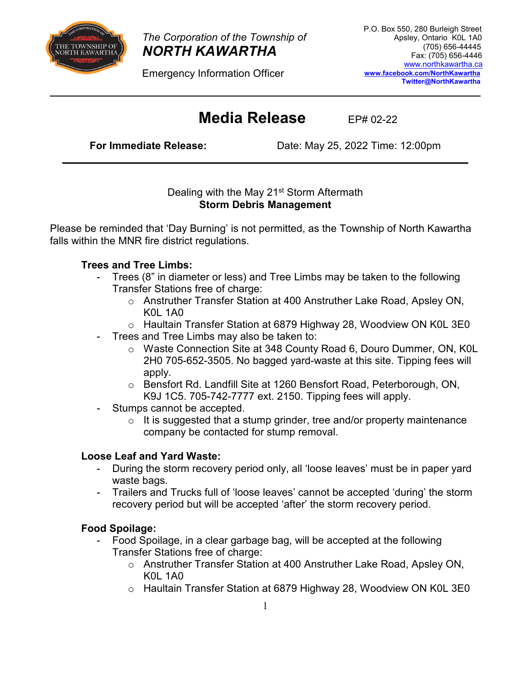

*The Corporation of the Township of NORTH KAWARTHA* 

Emergency Information Officer

# **Media Release** EP# 02-22

**For Immediate Release:** Date: May 25, 2022 Time: 12:00pm

### Dealing with the May 21<sup>st</sup> Storm Aftermath **Storm Debris Management**

Please be reminded that 'Day Burning' is not permitted, as the Township of North Kawartha falls within the MNR fire district regulations.

## **Trees and Tree Limbs:**

- Trees (8" in diameter or less) and Tree Limbs may be taken to the following Transfer Stations free of charge:
	- o Anstruther Transfer Station at 400 Anstruther Lake Road, Apsley ON, K0L 1A0
	- o Haultain Transfer Station at 6879 Highway 28, Woodview ON K0L 3E0
- Trees and Tree Limbs may also be taken to:
	- o Waste Connection Site at 348 County Road 6, Douro Dummer, ON, K0L 2H0 705-652-3505. No bagged yard-waste at this site. Tipping fees will apply.
	- o Bensfort Rd. Landfill Site at 1260 Bensfort Road, Peterborough, ON, K9J 1C5. 705-742-7777 ext. 2150. Tipping fees will apply.
- Stumps cannot be accepted.
	- $\circ$  It is suggested that a stump grinder, tree and/or property maintenance company be contacted for stump removal.

## **Loose Leaf and Yard Waste:**

- During the storm recovery period only, all 'loose leaves' must be in paper yard waste bags.
- Trailers and Trucks full of 'loose leaves' cannot be accepted 'during' the storm recovery period but will be accepted 'after' the storm recovery period.

## **Food Spoilage:**

- Food Spoilage, in a clear garbage bag, will be accepted at the following Transfer Stations free of charge:
	- o Anstruther Transfer Station at 400 Anstruther Lake Road, Apsley ON, K0L 1A0
	- o Haultain Transfer Station at 6879 Highway 28, Woodview ON K0L 3E0